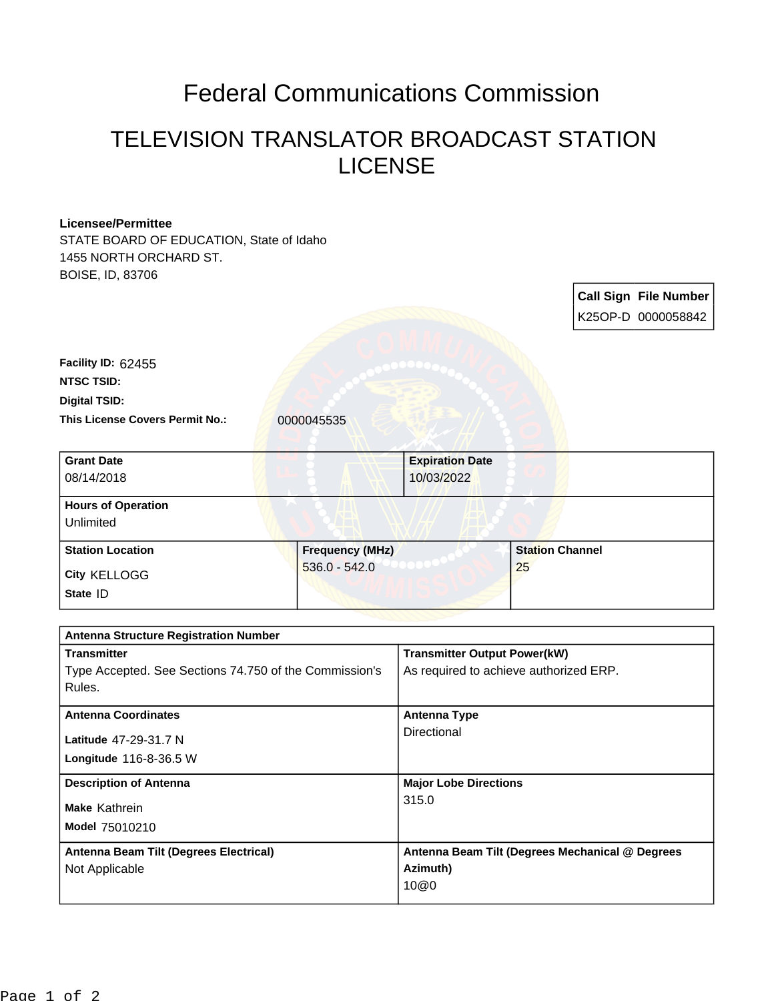## Federal Communications Commission

## TELEVISION TRANSLATOR BROADCAST STATION LICENSE

## **Licensee/Permittee**

STATE BOARD OF EDUCATION, State of Idaho 1455 NORTH ORCHARD ST. BOISE, ID, 83706

|                                         |                        |                        |                        | <b>Call Sign File Number</b><br>K25OP-D 0000058842 |
|-----------------------------------------|------------------------|------------------------|------------------------|----------------------------------------------------|
| Facility ID: 62455<br><b>NTSC TSID:</b> |                        |                        |                        |                                                    |
| <b>Digital TSID:</b>                    |                        |                        |                        |                                                    |
| <b>This License Covers Permit No.:</b>  | 0000045535             |                        |                        |                                                    |
| <b>Grant Date</b>                       |                        | <b>Expiration Date</b> |                        |                                                    |
| 08/14/2018                              |                        | 10/03/2022             |                        |                                                    |
| <b>Hours of Operation</b><br>Unlimited  |                        |                        |                        |                                                    |
| <b>Station Location</b>                 | <b>Frequency (MHz)</b> |                        | <b>Station Channel</b> |                                                    |
| City KELLOGG<br>State ID                | $536.0 - 542.0$        |                        | 25                     |                                                    |

| <b>Antenna Structure Registration Number</b>           |                                                 |  |  |  |
|--------------------------------------------------------|-------------------------------------------------|--|--|--|
| <b>Transmitter</b>                                     | <b>Transmitter Output Power(kW)</b>             |  |  |  |
| Type Accepted. See Sections 74.750 of the Commission's | As required to achieve authorized ERP.          |  |  |  |
| Rules.                                                 |                                                 |  |  |  |
| <b>Antenna Coordinates</b>                             | <b>Antenna Type</b>                             |  |  |  |
| Latitude 47-29-31.7 N                                  | Directional                                     |  |  |  |
| Longitude 116-8-36.5 W                                 |                                                 |  |  |  |
| <b>Description of Antenna</b>                          | <b>Major Lobe Directions</b>                    |  |  |  |
|                                                        |                                                 |  |  |  |
| Make Kathrein                                          | 315.0                                           |  |  |  |
| <b>Model 75010210</b>                                  |                                                 |  |  |  |
| Antenna Beam Tilt (Degrees Electrical)                 | Antenna Beam Tilt (Degrees Mechanical @ Degrees |  |  |  |
| Not Applicable                                         | Azimuth)                                        |  |  |  |
|                                                        | 10@0                                            |  |  |  |
|                                                        |                                                 |  |  |  |